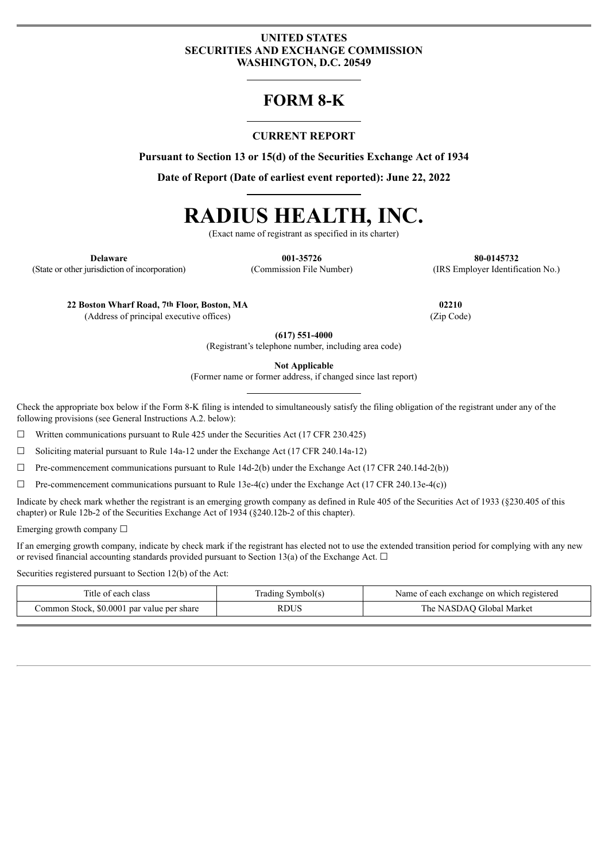## **UNITED STATES SECURITIES AND EXCHANGE COMMISSION WASHINGTON, D.C. 20549**

# **FORM 8-K**

# **CURRENT REPORT**

**Pursuant to Section 13 or 15(d) of the Securities Exchange Act of 1934**

**Date of Report (Date of earliest event reported): June 22, 2022**

# **RADIUS HEALTH, INC.**

(Exact name of registrant as specified in its charter)

**Delaware 001-35726 80-0145732** (State or other jurisdiction of incorporation) (Commission File Number) (IRS Employer Identification No.)

**22 Boston Wharf Road, 7th Floor, Boston, MA 02210**

(Address of principal executive offices) (Zip Code)

**(617) 551-4000**

(Registrant's telephone number, including area code)

**Not Applicable**

(Former name or former address, if changed since last report)

Check the appropriate box below if the Form 8-K filing is intended to simultaneously satisfy the filing obligation of the registrant under any of the following provisions (see General Instructions A.2. below):

 $\Box$  Written communications pursuant to Rule 425 under the Securities Act (17 CFR 230.425)

☐ Soliciting material pursuant to Rule 14a-12 under the Exchange Act (17 CFR 240.14a-12)

 $\Box$  Pre-commencement communications pursuant to Rule 14d-2(b) under the Exchange Act (17 CFR 240.14d-2(b))

 $\Box$  Pre-commencement communications pursuant to Rule 13e-4(c) under the Exchange Act (17 CFR 240.13e-4(c))

Indicate by check mark whether the registrant is an emerging growth company as defined in Rule 405 of the Securities Act of 1933 (§230.405 of this chapter) or Rule 12b-2 of the Securities Exchange Act of 1934 (§240.12b-2 of this chapter).

Emerging growth company ☐

If an emerging growth company, indicate by check mark if the registrant has elected not to use the extended transition period for complying with any new or revised financial accounting standards provided pursuant to Section 13(a) of the Exchange Act.  $\Box$ 

Securities registered pursuant to Section 12(b) of the Act:

| ' iti<br>class<br>of each                          | symbol(s)<br>rading | each exchange on which registered<br>Name<br>ΩŤ |
|----------------------------------------------------|---------------------|-------------------------------------------------|
| \$0,0001<br>Common Stock,<br>l par value per share | RDUS                | ∪Global Market<br>NASDA\<br>. ne                |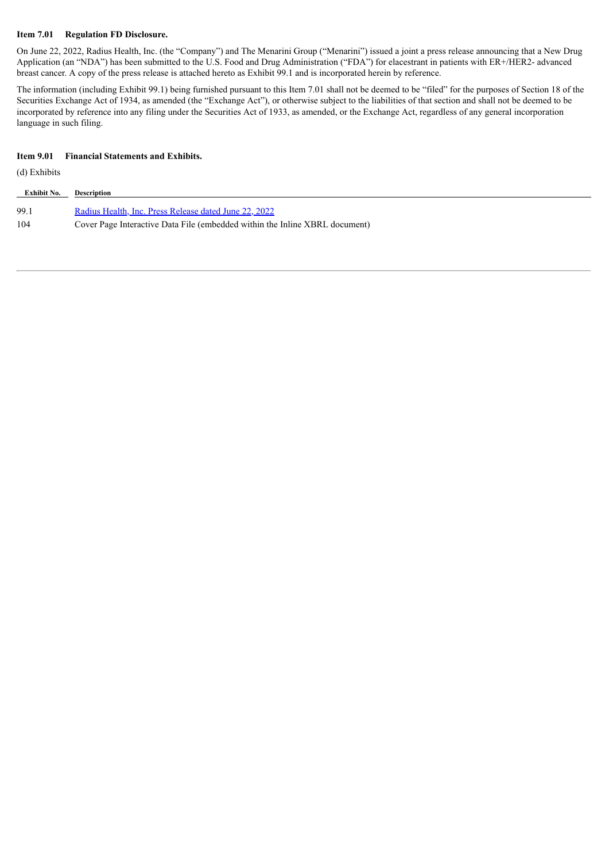#### **Item 7.01 Regulation FD Disclosure.**

On June 22, 2022, Radius Health, Inc. (the "Company") and The Menarini Group ("Menarini") issued a joint a press release announcing that a New Drug Application (an "NDA") has been submitted to the U.S. Food and Drug Administration ("FDA") for elacestrant in patients with ER+/HER2- advanced breast cancer. A copy of the press release is attached hereto as Exhibit 99.1 and is incorporated herein by reference.

The information (including Exhibit 99.1) being furnished pursuant to this Item 7.01 shall not be deemed to be "filed" for the purposes of Section 18 of the Securities Exchange Act of 1934, as amended (the "Exchange Act"), or otherwise subject to the liabilities of that section and shall not be deemed to be incorporated by reference into any filing under the Securities Act of 1933, as amended, or the Exchange Act, regardless of any general incorporation language in such filing.

#### **Item 9.01 Financial Statements and Exhibits.**

(d) Exhibits

| Exhibit No. | <b>Description</b>                                                          |
|-------------|-----------------------------------------------------------------------------|
| 99.1        | Radius Health, Inc. Press Release dated June 22, 2022                       |
| 104         | Cover Page Interactive Data File (embedded within the Inline XBRL document) |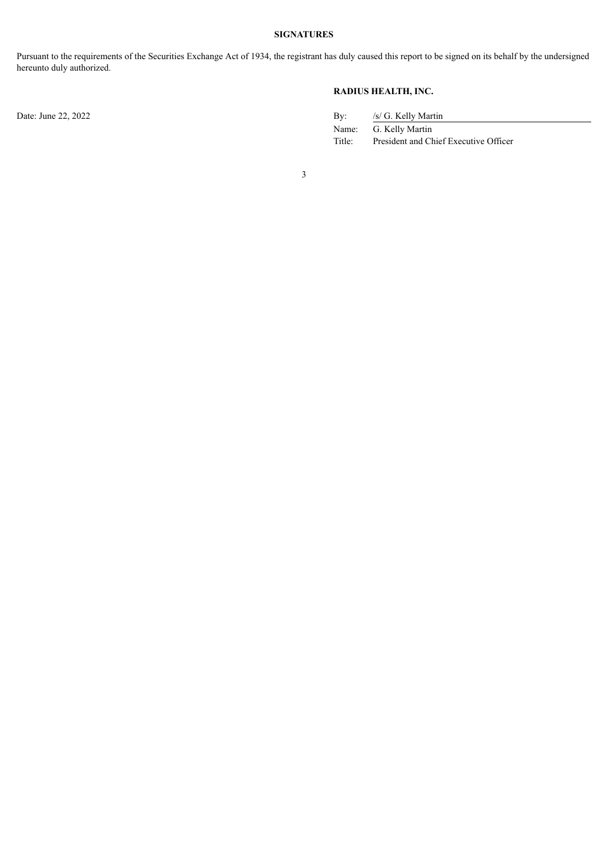#### **SIGNATURES**

Pursuant to the requirements of the Securities Exchange Act of 1934, the registrant has duly caused this report to be signed on its behalf by the undersigned hereunto duly authorized.

### **RADIUS HEALTH, INC.**

Date: June 22, 2022

| $\rm{By:}$ | /s/ G. Kelly Martin                   |
|------------|---------------------------------------|
| Name:      | G. Kelly Martin                       |
| Title:     | President and Chief Executive Officer |

3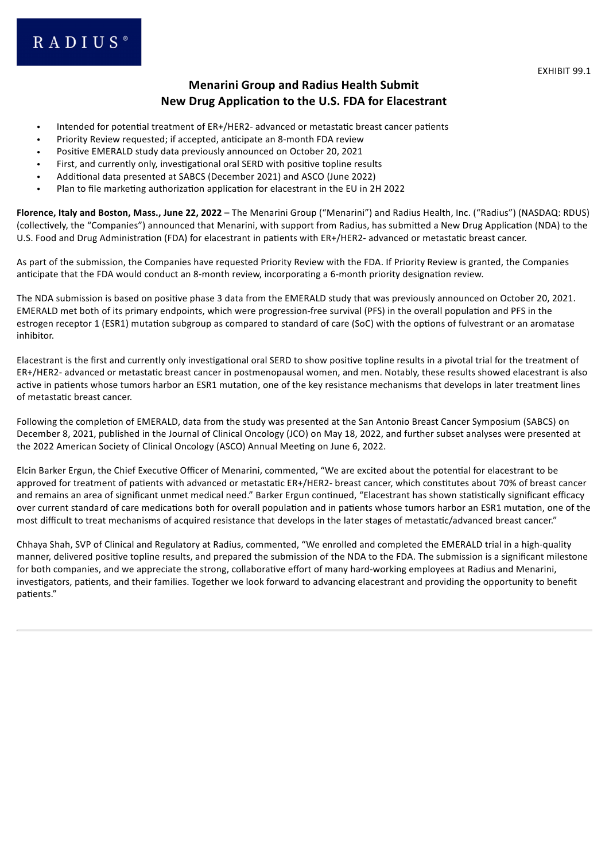EXHIBIT 99.1

# **Menarini Group and Radius Health Submit New Drug Application to the U.S. FDA for Elacestrant**

- <span id="page-3-0"></span>• Intended for potential treatment of ER+/HER2- advanced or metastatic breast cancer patients
- Priority Review requested; if accepted, anticipate an 8-month FDA review
- Positive EMERALD study data previously announced on October 20, 2021
- First, and currently only, investigational oral SERD with positive topline results
- Additional data presented at SABCS (December 2021) and ASCO (June 2022)
- Plan to file marketing authorization application for elacestrant in the EU in 2H 2022

**Florence, Italy and Boston, Mass., June 22, 2022** – The Menarini Group ("Menarini") and Radius Health, Inc. ("Radius") (NASDAQ: RDUS) (collectively, the "Companies") announced that Menarini, with support from Radius, has submitted a New Drug Application (NDA) to the U.S. Food and Drug Administration (FDA) for elacestrant in patients with ER+/HER2- advanced or metastatic breast cancer.

As part of the submission, the Companies have requested Priority Review with the FDA. If Priority Review is granted, the Companies anticipate that the FDA would conduct an 8-month review, incorporating a 6-month priority designation review.

The NDA submission is based on positive phase 3 data from the EMERALD study that was previously announced on October 20, 2021. EMERALD met both of its primary endpoints, which were progression-free survival (PFS) in the overall population and PFS in the estrogen receptor 1 (ESR1) mutation subgroup as compared to standard of care (SoC) with the options of fulvestrant or an aromatase inhibitor.

Elacestrant is the first and currently only investigational oral SERD to show positive topline results in a pivotal trial for the treatment of ER+/HER2- advanced or metastatic breast cancer in postmenopausal women, and men. Notably, these results showed elacestrant is also active in patients whose tumors harbor an ESR1 mutation, one of the key resistance mechanisms that develops in later treatment lines of metastatic breast cancer.

Following the completion of EMERALD, data from the study was presented at the San Antonio Breast Cancer Symposium (SABCS) on December 8, 2021, published in the Journal of Clinical Oncology (JCO) on May 18, 2022, and further subset analyses were presented at the 2022 American Society of Clinical Oncology (ASCO) Annual Meeting on June 6, 2022.

Elcin Barker Ergun, the Chief Executive Officer of Menarini, commented, "We are excited about the potential for elacestrant to be approved for treatment of patients with advanced or metastatic ER+/HER2- breast cancer, which constitutes about 70% of breast cancer and remains an area of significant unmet medical need." Barker Ergun continued, "Elacestrant has shown statistically significant efficacy over current standard of care medications both for overall population and in patients whose tumors harbor an ESR1 mutation, one of the most difficult to treat mechanisms of acquired resistance that develops in the later stages of metastatic/advanced breast cancer."

Chhaya Shah, SVP of Clinical and Regulatory at Radius, commented, "We enrolled and completed the EMERALD trial in a high-quality manner, delivered positive topline results, and prepared the submission of the NDA to the FDA. The submission is a significant milestone for both companies, and we appreciate the strong, collaborative effort of many hard-working employees at Radius and Menarini, investigators, patients, and their families. Together we look forward to advancing elacestrant and providing the opportunity to benefit patients."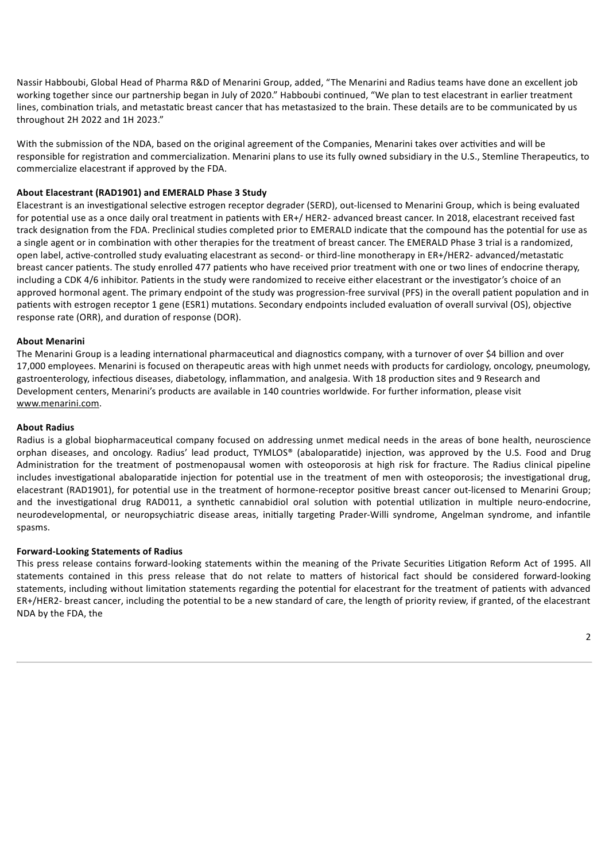Nassir Habboubi, Global Head of Pharma R&D of Menarini Group, added, "The Menarini and Radius teams have done an excellent job working together since our partnership began in July of 2020." Habboubi continued, "We plan to test elacestrant in earlier treatment lines, combination trials, and metastatic breast cancer that has metastasized to the brain. These details are to be communicated by us throughout 2H 2022 and 1H 2023."

With the submission of the NDA, based on the original agreement of the Companies, Menarini takes over activities and will be responsible for registration and commercialization. Menarini plans to use its fully owned subsidiary in the U.S., Stemline Therapeutics, to commercialize elacestrant if approved by the FDA.

#### **About Elacestrant (RAD1901) and EMERALD Phase 3 Study**

Elacestrant is an investigational selective estrogen receptor degrader (SERD), out-licensed to Menarini Group, which is being evaluated for potential use as a once daily oral treatment in patients with ER+/ HER2- advanced breast cancer. In 2018, elacestrant received fast track designation from the FDA. Preclinical studies completed prior to EMERALD indicate that the compound has the potential for use as a single agent or in combination with other therapies for the treatment of breast cancer. The EMERALD Phase 3 trial is a randomized, open label, active-controlled study evaluating elacestrant as second- or third-line monotherapy in ER+/HER2- advanced/metastatic breast cancer patients. The study enrolled 477 patients who have received prior treatment with one or two lines of endocrine therapy, including a CDK 4/6 inhibitor. Patients in the study were randomized to receive either elacestrant or the investigator's choice of an approved hormonal agent. The primary endpoint of the study was progression-free survival (PFS) in the overall patient population and in patients with estrogen receptor 1 gene (ESR1) mutations. Secondary endpoints included evaluation of overall survival (OS), objective response rate (ORR), and duration of response (DOR).

#### **About Menarini**

The Menarini Group is a leading international pharmaceutical and diagnostics company, with a turnover of over \$4 billion and over 17,000 employees. Menarini is focused on therapeutic areas with high unmet needs with products for cardiology, oncology, pneumology, gastroenterology, infectious diseases, diabetology, inflammation, and analgesia. With 18 production sites and 9 Research and Development centers, Menarini's products are available in 140 countries worldwide. For further information, please visit www.menarini.com.

#### **About Radius**

Radius is a global biopharmaceutical company focused on addressing unmet medical needs in the areas of bone health, neuroscience orphan diseases, and oncology. Radius' lead product, TYMLOS® (abaloparatide) injection, was approved by the U.S. Food and Drug Administration for the treatment of postmenopausal women with osteoporosis at high risk for fracture. The Radius clinical pipeline includes investigational abaloparatide injection for potential use in the treatment of men with osteoporosis; the investigational drug, elacestrant (RAD1901), for potential use in the treatment of hormone-receptor positive breast cancer out-licensed to Menarini Group; and the investigational drug RAD011, a synthetic cannabidiol oral solution with potential utilization in multiple neuro-endocrine, neurodevelopmental, or neuropsychiatric disease areas, initially targeting Prader-Willi syndrome, Angelman syndrome, and infantile spasms.

#### **Forward-Looking Statements of Radius**

This press release contains forward-looking statements within the meaning of the Private Securities Litigation Reform Act of 1995. All statements contained in this press release that do not relate to matters of historical fact should be considered forward-looking statements, including without limitation statements regarding the potential for elacestrant for the treatment of patients with advanced ER+/HER2- breast cancer, including the potential to be a new standard of care, the length of priority review, if granted, of the elacestrant NDA by the FDA, the